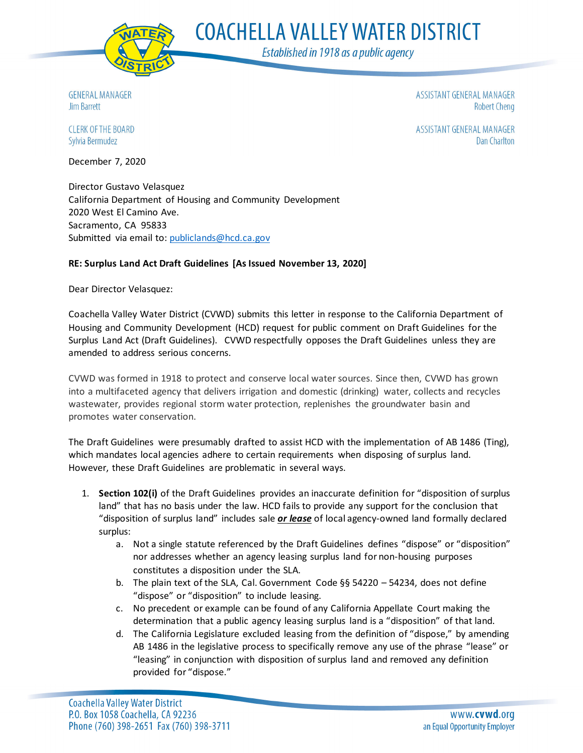

**COACHELLA VALLEY WATER DISTRICT** 

Established in 1918 as a public agency

**GENERAL MANAGER Jim Barrett** 

ASSISTANT GENERAL MANAGER **Robert Cheng** 

CLERK OF THE BOARD Sylvia Bermudez

ASSISTANT GENERAL MANAGER **Dan Charlton** 

December 7, 2020

Director Gustavo Velasquez California Department of Housing and Community Development 2020 West El Camino Ave. Sacramento, CA 95833 Submitted via email to: [publiclands@hcd.ca.gov](mailto:publiclands@hcd.ca.gov)

## **RE: Surplus Land Act Draft Guidelines [As Issued November 13, 2020]**

Dear Director Velasquez:

Coachella Valley Water District (CVWD) submits this letter in response to the California Department of Housing and Community Development (HCD) request for public comment on Draft Guidelines for the Surplus Land Act (Draft Guidelines). CVWD respectfully opposes the Draft Guidelines unless they are amended to address serious concerns.

CVWD was formed in 1918 to protect and conserve local water sources. Since then, CVWD has grown into a multifaceted agency that delivers irrigation and domestic (drinking) water, collects and recycles wastewater, provides regional storm water protection, replenishes the groundwater basin and promotes water conservation.

The Draft Guidelines were presumably drafted to assist HCD with the implementation of AB 1486 (Ting), which mandates local agencies adhere to certain requirements when disposing of surplus land. However, these Draft Guidelines are problematic in several ways.

- 1. **Section 102(i)** of the Draft Guidelines provides an inaccurate definition for "disposition of surplus land" that has no basis under the law. HCD fails to provide any support for the conclusion that "disposition of surplus land" includes sale *or lease* of local agency-owned land formally declared surplus:
	- a. Not a single statute referenced by the Draft Guidelines defines "dispose" or "disposition" nor addresses whether an agency leasing surplus land for non-housing purposes constitutes a disposition under the SLA.
	- b. The plain text of the SLA, Cal. Government Code  $\S$ § 54220 54234, does not define "dispose" or "disposition" to include leasing.
	- c. No precedent or example can be found of any California Appellate Court making the determination that a public agency leasing surplus land is a "disposition" of that land.
	- d. The California Legislature excluded leasing from the definition of "dispose," by amending AB 1486 in the legislative process to specifically remove any use of the phrase "lease" or "leasing" in conjunction with disposition of surplus land and removed any definition provided for "dispose."